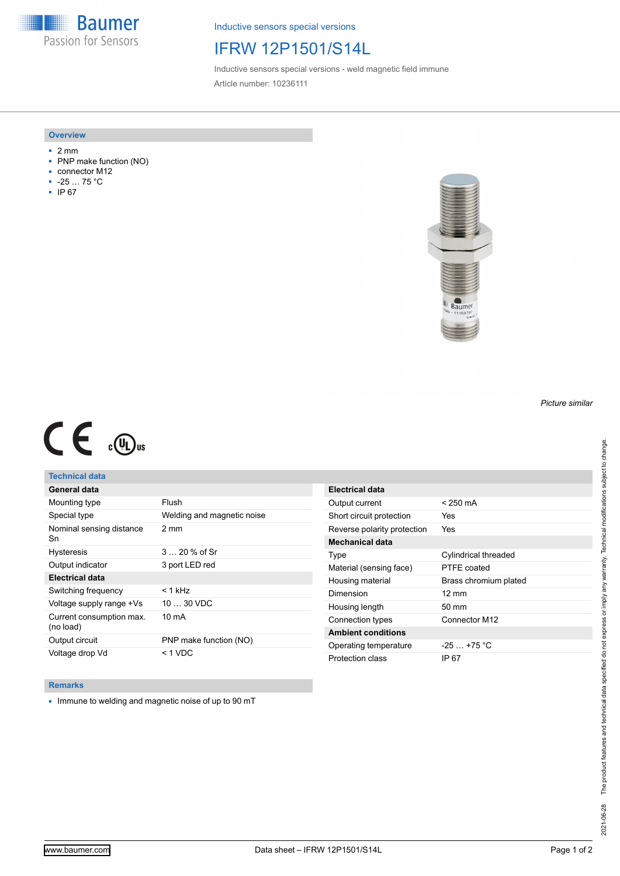**Baumer** Passion for Sensors

Inductive sensors special versions

# IFRW 12P1501/S14L

Inductive sensors special versions - weld magnetic field immune Article number: 10236111

### **Overview**

- 2 mm
- PNP make function (NO)
- connector M12
- -25 … 75 °C
- IP 67



# $C \in \mathbb{C}$

## **Technical data**

| General data                          |                            |
|---------------------------------------|----------------------------|
| Mounting type                         | Flush                      |
| Special type                          | Welding and magnetic noise |
| Nominal sensing distance<br>Sn        | $2 \text{ mm}$             |
| <b>Hysteresis</b>                     | $320%$ of Sr               |
| Output indicator                      | 3 port LED red             |
| Electrical data                       |                            |
| Switching frequency                   | < 1 kHz                    |
| Voltage supply range +Vs              | $1030$ VDC                 |
| Current consumption max.<br>(no load) | $10 \text{ mA}$            |
| Output circuit                        | PNP make function (NO)     |
| Voltage drop Vd                       | < 1 VDC                    |

| Electrical data             |                       |
|-----------------------------|-----------------------|
| Output current              | < 250 mA              |
| Short circuit protection    | Yes                   |
| Reverse polarity protection | Yes                   |
| Mechanical data             |                       |
| Type                        | Cylindrical threaded  |
| Material (sensing face)     | PTFE coated           |
| Housing material            | Brass chromium plated |
| Dimension                   | $12 \text{ mm}$       |
| Housing length              | $50 \text{ mm}$       |
| Connection types            | Connector M12         |
| <b>Ambient conditions</b>   |                       |
| Operating temperature       | $-25$ $+75$ °C        |
| Protection class            | IP 67                 |

#### **Remarks**

■ Immune to welding and magnetic noise of up to 90 mT

*Picture similar*